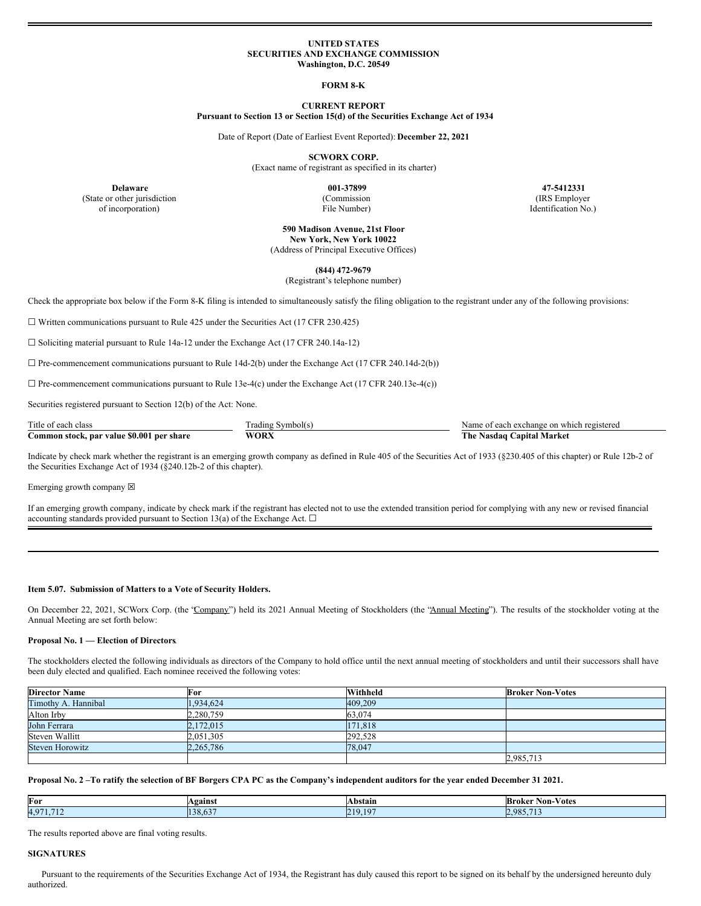### **UNITED STATES SECURITIES AND EXCHANGE COMMISSION Washington, D.C. 20549**

### **FORM 8-K**

# **CURRENT REPORT**

**Pursuant to Section 13 or Section 15(d) of the Securities Exchange Act of 1934**

Date of Report (Date of Earliest Event Reported): **December 22, 2021**

**SCWORX CORP.**

(Exact name of registrant as specified in its charter)

(Commission

File Number)

**Delaware 001-37899 47-5412331** (IRS Employer Identification No.)

> **590 Madison Avenue, 21st Floor New York, New York 10022** (Address of Principal Executive Offices)

**(844) 472-9679**

(Registrant's telephone number)

Check the appropriate box below if the Form 8-K filing is intended to simultaneously satisfy the filing obligation to the registrant under any of the following provisions:

 $\Box$  Written communications pursuant to Rule 425 under the Securities Act (17 CFR 230.425)

 $\Box$  Soliciting material pursuant to Rule 14a-12 under the Exchange Act (17 CFR 240.14a-12)

 $\Box$  Pre-commencement communications pursuant to Rule 14d-2(b) under the Exchange Act (17 CFR 240.14d-2(b))

 $\Box$  Pre-commencement communications pursuant to Rule 13e-4(c) under the Exchange Act (17 CFR 240.13e-4(c))

Securities registered pursuant to Section 12(b) of the Act: None.

(State or other jurisdiction of incorporation)

| Title of each class                       | I rading Symbolts | f each exchange on which registered<br>Name |
|-------------------------------------------|-------------------|---------------------------------------------|
| Common stock, par value \$0.001 per share | <b>WORX</b>       | The .<br><b>Capital Market</b><br>Nasdag ′  |

Indicate by check mark whether the registrant is an emerging growth company as defined in Rule 405 of the Securities Act of 1933 (§230.405 of this chapter) or Rule 12b-2 of the Securities Exchange Act of 1934 (§240.12b-2 of this chapter).

Emerging growth company  $\boxtimes$ 

If an emerging growth company, indicate by check mark if the registrant has elected not to use the extended transition period for complying with any new or revised financial accounting standards provided pursuant to Section 13(a) of the Exchange Act.  $\Box$ 

#### **Item 5.07. Submission of Matters to a Vote of Security Holders.**

On December 22, 2021, SCWorx Corp. (the "Company") held its 2021 Annual Meeting of Stockholders (the "Annual Meeting"). The results of the stockholder voting at the Annual Meeting are set forth below:

# **Proposal No. 1 — Election of Directors**.

The stockholders elected the following individuals as directors of the Company to hold office until the next annual meeting of stockholders and until their successors shall have been duly elected and qualified. Each nominee received the following votes:

| <b>Director Name</b> | For       | Withheld | <b>Broker Non-Votes</b> |
|----------------------|-----------|----------|-------------------------|
| Timothy A. Hannibal  | 1.934.624 | 409,209  |                         |
| Alton Irby           | 2,280,759 | 63,074   |                         |
| John Ferrara         | 2,172,015 | 171,818  |                         |
| Steven Wallitt       | 2,051,305 | 292,528  |                         |
| Steven Horowitz      | 2.265.786 | 78,047   |                         |
|                      |           |          | 2,985,713               |

Proposal No. 2-To ratify the selection of BF Borgers CPA PC as the Company's independent auditors for the year ended December 31 2021.

| For     | <b>\gainst</b>       | Abstain        | $ -$<br>Broker<br><b>Non-Votes</b> |
|---------|----------------------|----------------|------------------------------------|
| $4.97*$ | $\sim$ $\sim$ $\sim$ | $\sqrt{10}$    | $2.98^{\circ}$                     |
| $-11$   | 120                  | $\mathbf{D}$ 1 | $\sim$                             |
| 1.714   | L38.03               | .              |                                    |

The results reported above are final voting results.

# **SIGNATURES**

Pursuant to the requirements of the Securities Exchange Act of 1934, the Registrant has duly caused this report to be signed on its behalf by the undersigned hereunto duly authorized.